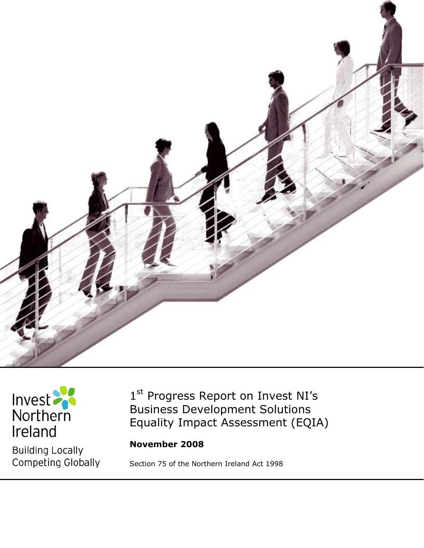



**Building Locally** Competing Globally

1<sup>st</sup> Progress Report on Invest NI's Business Development Solutions Equality Impact Assessment (EQIA)

**November 2008**

Section 75 of the Northern Ireland Act 1998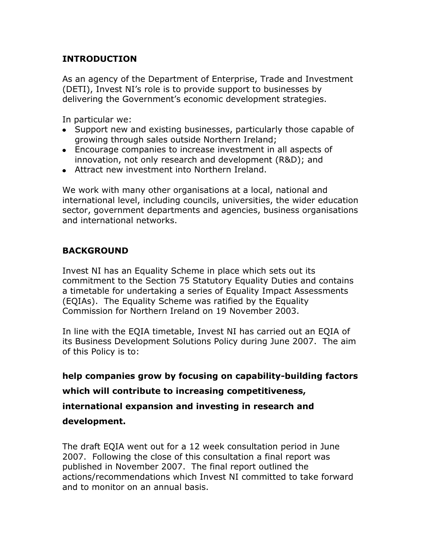### **INTRODUCTION**

As an agency of the Department of Enterprise, Trade and Investment (DETI), Invest NI's role is to provide support to businesses by delivering the Government's economic development strategies.

In particular we:

- Support new and existing businesses, particularly those capable of growing through sales outside Northern Ireland;
- Encourage companies to increase investment in all aspects of innovation, not only research and development (R&D); and
- Attract new investment into Northern Ireland.

We work with many other organisations at a local, national and international level, including councils, universities, the wider education sector, government departments and agencies, business organisations and international networks.

# **BACKGROUND**

Invest NI has an Equality Scheme in place which sets out its commitment to the Section 75 Statutory Equality Duties and contains a timetable for undertaking a series of Equality Impact Assessments (EQIAs). The Equality Scheme was ratified by the Equality Commission for Northern Ireland on 19 November 2003.

In line with the EQIA timetable, Invest NI has carried out an EQIA of its Business Development Solutions Policy during June 2007. The aim of this Policy is to:

**help companies grow by focusing on capability-building factors** 

**which will contribute to increasing competitiveness,** 

**international expansion and investing in research and** 

#### **development.**

The draft EQIA went out for a 12 week consultation period in June 2007. Following the close of this consultation a final report was published in November 2007. The final report outlined the actions/recommendations which Invest NI committed to take forward and to monitor on an annual basis.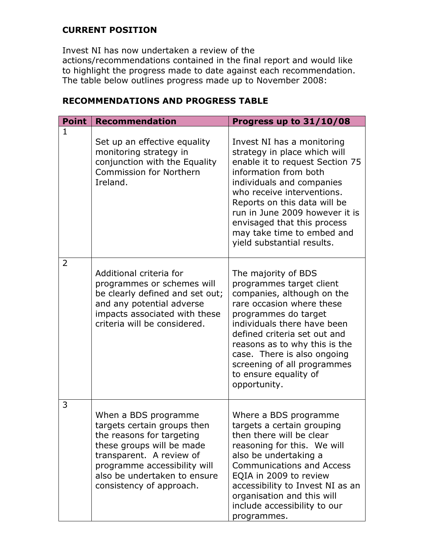## **CURRENT POSITION**

Invest NI has now undertaken a review of the actions/recommendations contained in the final report and would like to highlight the progress made to date against each recommendation. The table below outlines progress made up to November 2008:

| <b>Point</b> | <b>Recommendation</b>                                                                                                                                                                                                                 | Progress up to 31/10/08                                                                                                                                                                                                                                                                                                                        |
|--------------|---------------------------------------------------------------------------------------------------------------------------------------------------------------------------------------------------------------------------------------|------------------------------------------------------------------------------------------------------------------------------------------------------------------------------------------------------------------------------------------------------------------------------------------------------------------------------------------------|
| $\mathbf{1}$ | Set up an effective equality<br>monitoring strategy in<br>conjunction with the Equality<br><b>Commission for Northern</b><br>Ireland.                                                                                                 | Invest NI has a monitoring<br>strategy in place which will<br>enable it to request Section 75<br>information from both<br>individuals and companies<br>who receive interventions.<br>Reports on this data will be<br>run in June 2009 however it is<br>envisaged that this process<br>may take time to embed and<br>yield substantial results. |
| 2            | Additional criteria for<br>programmes or schemes will<br>be clearly defined and set out;<br>and any potential adverse<br>impacts associated with these<br>criteria will be considered.                                                | The majority of BDS<br>programmes target client<br>companies, although on the<br>rare occasion where these<br>programmes do target<br>individuals there have been<br>defined criteria set out and<br>reasons as to why this is the<br>case. There is also ongoing<br>screening of all programmes<br>to ensure equality of<br>opportunity.      |
| 3            | When a BDS programme<br>targets certain groups then<br>the reasons for targeting<br>these groups will be made<br>transparent. A review of<br>programme accessibility will<br>also be undertaken to ensure<br>consistency of approach. | Where a BDS programme<br>targets a certain grouping<br>then there will be clear<br>reasoning for this. We will<br>also be undertaking a<br><b>Communications and Access</b><br>EQIA in 2009 to review<br>accessibility to Invest NI as an<br>organisation and this will<br>include accessibility to our<br>programmes.                         |

# **RECOMMENDATIONS AND PROGRESS TABLE**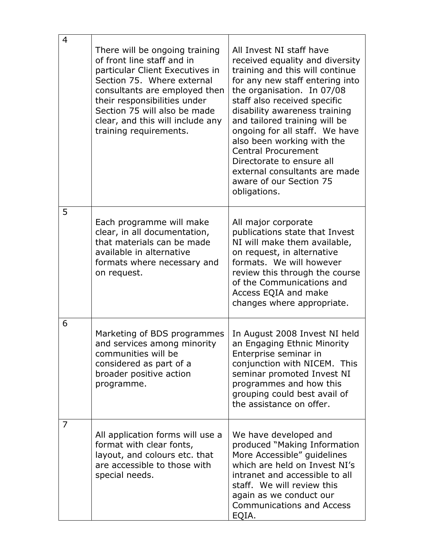| 4 | There will be ongoing training<br>of front line staff and in<br>particular Client Executives in<br>Section 75. Where external<br>consultants are employed then<br>their responsibilities under<br>Section 75 will also be made<br>clear, and this will include any<br>training requirements. | All Invest NI staff have<br>received equality and diversity<br>training and this will continue<br>for any new staff entering into<br>the organisation. In 07/08<br>staff also received specific<br>disability awareness training<br>and tailored training will be<br>ongoing for all staff. We have<br>also been working with the<br><b>Central Procurement</b><br>Directorate to ensure all<br>external consultants are made<br>aware of our Section 75<br>obligations. |
|---|----------------------------------------------------------------------------------------------------------------------------------------------------------------------------------------------------------------------------------------------------------------------------------------------|--------------------------------------------------------------------------------------------------------------------------------------------------------------------------------------------------------------------------------------------------------------------------------------------------------------------------------------------------------------------------------------------------------------------------------------------------------------------------|
| 5 | Each programme will make<br>clear, in all documentation,<br>that materials can be made<br>available in alternative<br>formats where necessary and<br>on request.                                                                                                                             | All major corporate<br>publications state that Invest<br>NI will make them available,<br>on request, in alternative<br>formats. We will however<br>review this through the course<br>of the Communications and<br>Access EQIA and make<br>changes where appropriate.                                                                                                                                                                                                     |
| 6 | Marketing of BDS programmes<br>and services among minority<br>communities will be<br>considered as part of a<br>broader positive action<br>programme.                                                                                                                                        | In August 2008 Invest NI held<br>an Engaging Ethnic Minority<br>Enterprise seminar in<br>conjunction with NICEM. This<br>seminar promoted Invest NI<br>programmes and how this<br>grouping could best avail of<br>the assistance on offer.                                                                                                                                                                                                                               |
| 7 | All application forms will use a<br>format with clear fonts,<br>layout, and colours etc. that<br>are accessible to those with<br>special needs.                                                                                                                                              | We have developed and<br>produced "Making Information<br>More Accessible" guidelines<br>which are held on Invest NI's<br>intranet and accessible to all<br>staff. We will review this<br>again as we conduct our<br><b>Communications and Access</b><br>EQIA.                                                                                                                                                                                                            |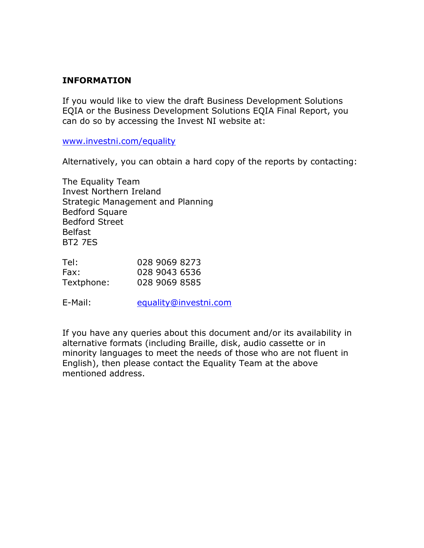#### **INFORMATION**

If you would like to view the draft Business Development Solutions EQIA or the Business Development Solutions EQIA Final Report, you can do so by accessing the Invest NI website at:

[www.investni.com/equality](http://www.investni.com/equality)

Alternatively, you can obtain a hard copy of the reports by contacting:

The Equality Team Invest Northern Ireland Strategic Management and Planning Bedford Square Bedford Street Belfast BT2 7ES

| Tel:       | 028 9069 8273 |
|------------|---------------|
| Fax:       | 028 9043 6536 |
| Textphone: | 028 9069 8585 |

E-Mail: [equality@investni.com](mailto:equality@investni.com)

If you have any queries about this document and/or its availability in alternative formats (including Braille, disk, audio cassette or in minority languages to meet the needs of those who are not fluent in English), then please contact the Equality Team at the above mentioned address.